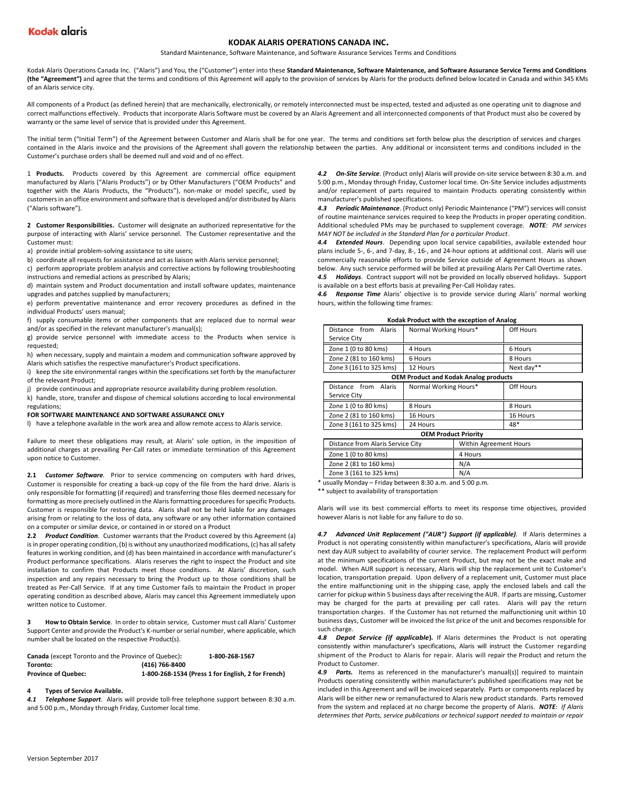# **KODAK ALARIS OPERATIONS CANADA INC.**

Standard Maintenance, Software Maintenance, and Software Assurance Services Terms and Conditions

Kodak Alaris Operations Canada Inc. ("Alaris") and You, the ("Customer") enter into these **Standard Maintenance, Software Maintenance, and Software Assurance Service Terms and Conditions (the "Agreement")** and agree that the terms and conditions of this Agreement will apply to the provision of services by Alaris for the products defined below located in Canada and within 345 KMs of an Alaris service city.

All components of a Product (as defined herein) that are mechanically, electronically, or remotely interconnected must be inspected, tested and adjusted as one operating unit to diagnose and correct malfunctions effectively. Products that incorporate Alaris Software must be covered by an Alaris Agreement and all interconnected components of that Product must also be covered by warranty or the same level of service that is provided under this Agreement.

The initial term ("Initial Term") of the Agreement between Customer and Alaris shall be for one year. The terms and conditions set forth below plus the description of services and charges contained in the Alaris invoice and the provisions of the Agreement shall govern the relationship between the parties. Any additional or inconsistent terms and conditions included in the Customer's purchase orders shall be deemed null and void and of no effect.

1 **Products.** Products covered by this Agreement are commercial office equipment manufactured by Alaris ("Alaris Products") or by Other Manufacturers ("OEM Products" and together with the Alaris Products, the "Products"), non-make or model specific, used by customers in an office environment and software that is developed and/or distributed by Alaris ("Alaris software").

**2 Customer Responsibilities.** Customer will designate an authorized representative for the purpose of interacting with Alaris' service personnel. The Customer representative and the Customer must:

a) provide initial problem-solving assistance to site users;

b) coordinate all requests for assistance and act as liaison with Alaris service personnel;

c) perform appropriate problem analysis and corrective actions by following troubleshooting instructions and remedial actions as prescribed by Alaris;

d) maintain system and Product documentation and install software updates, maintenance upgrades and patches supplied by manufacturers;

e) perform preventative maintenance and error recovery procedures as defined in the individual Products' users manual;

f) supply consumable items or other components that are replaced due to normal wear and/or as specified in the relevant manufacturer's manual(s);

g) provide service personnel with immediate access to the Products when service is requested;

h) when necessary, supply and maintain a modem and communication software approved by Alaris which satisfies the respective manufacturer's Product specifications.

i) keep the site environmental ranges within the specifications set forth by the manufacturer of the relevant Product;

j) provide continuous and appropriate resource availability during problem resolution.

k) handle, store, transfer and dispose of chemical solutions according to local environmental regulations;

## **FOR SOFTWARE MAINTENANCE AND SOFTWARE ASSURANCE ONLY**

l) have a telephone available in the work area and allow remote access to Alaris service.

Failure to meet these obligations may result, at Alaris' sole option, in the imposition of additional charges at prevailing Per-Call rates or immediate termination of this Agreement upon notice to Customer.

**2.1** *Customer Software.* Prior to service commencing on computers with hard drives, Customer is responsible for creating a back-up copy of the file from the hard drive. Alaris is only responsible for formatting (if required) and transferring those files deemed necessary for formatting as more precisely outlined in the Alaris formatting procedures for specific Products. Customer is responsible for restoring data. Alaris shall not be held liable for any damages arising from or relating to the loss of data, any software or any other information contained on a computer or similar device, or contained in or stored on a Product

**2.2** *Product Condition.* Customer warrants that the Product covered by this Agreement (a) is in proper operating condition, (b) is without any unauthorized modifications, (c) has all safety features in working condition, and (d) has been maintained in accordance with manufacturer's Product performance specifications. Alaris reserves the right to inspect the Product and site installation to confirm that Products meet those conditions. At Alaris' discretion, such inspection and any repairs necessary to bring the Product up to those conditions shall be treated as Per-Call Service. If at any time Customer fails to maintain the Product in proper operating condition as described above, Alaris may cancel this Agreement immediately upon written notice to Customer.

**3 How to Obtain Service**. In order to obtain service, Customer must call Alaris' Customer Support Center and provide the Product's K-number or serial number, where applicable, which number shall be located on the respective Product(s).

| Canada (except Toronto and the Province of Quebec): |                | 1-800-268-1567                                     |
|-----------------------------------------------------|----------------|----------------------------------------------------|
| Toronto:                                            | (416) 766-8400 |                                                    |
| <b>Province of Quebec:</b>                          |                | 1-800-268-1534 (Press 1 for English, 2 for French) |

#### **4 Types of Service Available.**

*4.1 Telephone Support.* Alaris will provide toll-free telephone support between 8:30 a.m. and 5:00 p.m., Monday through Friday, Customer local time.

*4.2 On-Site Service*. (Product only) Alaris will provide on-site service between 8:30 a.m. and 5:00 p.m., Monday through Friday, Customer local time. On-Site Service includes adjustments and/or replacement of parts required to maintain Products operating consistently within manufacturer's published specifications.

*4.3 Periodic Maintenance*. (Product only) Periodic Maintenance ("PM") services will consist of routine maintenance services required to keep the Products in proper operating condition. Additional scheduled PMs may be purchased to supplement coverage. *NOTE: PM services MAY NOT be included in the Standard Plan for a particular Product*.

*4.4 Extended Hours*. Depending upon local service capabilities, available extended hour plans include 5-, 6-, and 7-day, 8-, 16-, and 24-hour options at additional cost. Alaris will use commercially reasonable efforts to provide Service outside of Agreement Hours as shown below. Any such service performed will be billed at prevailing Alaris Per Call Overtime rates. *4.5 Holidays*. Contract support will not be provided on locally observed holidays. Support

is available on a best efforts basis at prevailing Per-Call Holiday rates.

*4.6 Response Time* Alaris' objective is to provide service during Alaris' normal working hours, within the following time frames:

| Kodak Product with the exception of Analog |  |  |  |
|--------------------------------------------|--|--|--|
|--------------------------------------------|--|--|--|

| Distance from<br>Alaris                      | Normal Working Hours* | Off Hours  |  |
|----------------------------------------------|-----------------------|------------|--|
| Service City                                 |                       |            |  |
| Zone 1 (0 to 80 kms)                         | 4 Hours               | 6 Hours    |  |
| Zone 2 (81 to 160 kms)                       | 6 Hours               | 8 Hours    |  |
| Zone 3 (161 to 325 kms)                      | 12 Hours              | Next day** |  |
| <b>OEM Product and Kodak Analog products</b> |                       |            |  |
| Distance from<br>Alaris                      | Normal Working Hours* | Off Hours  |  |
| Service City                                 |                       |            |  |
| Zone 1 (0 to 80 kms)                         | 8 Hours               | 8 Hours    |  |
| Zone 2 (81 to 160 kms)                       | 16 Hours              | 16 Hours   |  |
| Zone 3 (161 to 325 kms)                      | 24 Hours              | 48*        |  |
| <b>OFM Product Priority</b>                  |                       |            |  |

| Distance from Alaris Service City | Within Agreement Hours |  |
|-----------------------------------|------------------------|--|
| Zone 1 (0 to 80 kms)              | 4 Hours                |  |
| Zone 2 (81 to 160 kms)            | N/A                    |  |
| Zone 3 (161 to 325 kms)           | N/A                    |  |
|                                   |                        |  |

\* usually Monday – Friday between 8:30 a.m. and 5:00 p.m.

\*\* subject to availability of transportation

Alaris will use its best commercial efforts to meet its response time objectives, provided however Alaris is not liable for any failure to do so.

*4.7 Advanced Unit Replacement ("AUR") Support (if applicable).* If Alaris determines a Product is not operating consistently within manufacturer's specifications, Alaris will provide next day AUR subject to availability of courier service. The replacement Product will perform at the minimum specifications of the current Product, but may not be the exact make and model. When AUR support is necessary, Alaris will ship the replacement unit to Customer's location, transportation prepaid. Upon delivery of a replacement unit, Customer must place the entire malfunctioning unit in the shipping case, apply the enclosed labels and call the carrier for pickup within 5 business days after receiving the AUR. If parts are missing, Customer may be charged for the parts at prevailing per call rates. Alaris will pay the return transportation charges. If the Customer has not returned the malfunctioning unit within 10 business days, Customer will be invoiced the list price of the unit and becomes responsible for such charge.

*4.8 Depot Service (if applicable***)***.* If Alaris determines the Product is not operating consistently within manufacturer's specifications, Alaris will instruct the Customer regarding shipment of the Product to Alaris for repair. Alaris will repair the Product and return the Product to Customer.

**4.9 Parts.** Items as referenced in the manufacturer's manual(s)] required to maintain Products operating consistently within manufacturer's published specifications may not be included in this Agreement and will be invoiced separately. Parts or components replaced by Alaris will be either new or remanufactured to Alaris new product standards. Parts removed from the system and replaced at no charge become the property of Alaris. *NOTE: If Alaris determines that Parts, service publications or technical support needed to maintain or repair*